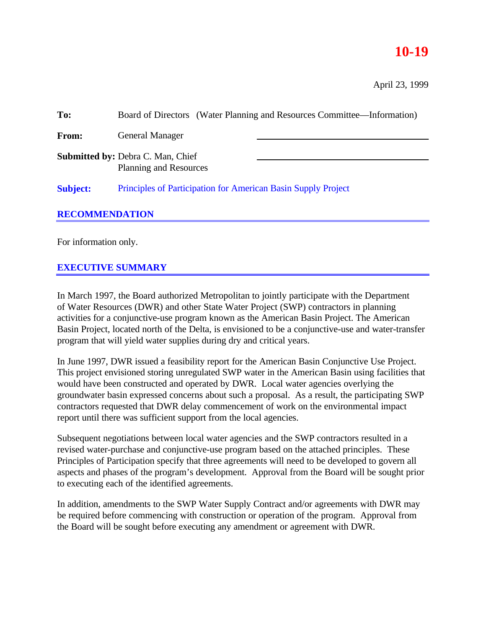# **10-19**

April 23, 1999

| To:                   | Board of Directors (Water Planning and Resources Committee—Information) |
|-----------------------|-------------------------------------------------------------------------|
| <b>From:</b>          | <b>General Manager</b>                                                  |
|                       | <b>Submitted by: Debra C. Man, Chief</b><br>Planning and Resources      |
| <b>Subject:</b>       | Principles of Participation for American Basin Supply Project           |
| <b>RECOMMENDATION</b> |                                                                         |
|                       |                                                                         |

For information only.

# **EXECUTIVE SUMMARY**

In March 1997, the Board authorized Metropolitan to jointly participate with the Department of Water Resources (DWR) and other State Water Project (SWP) contractors in planning activities for a conjunctive-use program known as the American Basin Project. The American Basin Project, located north of the Delta, is envisioned to be a conjunctive-use and water-transfer program that will yield water supplies during dry and critical years.

In June 1997, DWR issued a feasibility report for the American Basin Conjunctive Use Project. This project envisioned storing unregulated SWP water in the American Basin using facilities that would have been constructed and operated by DWR. Local water agencies overlying the groundwater basin expressed concerns about such a proposal. As a result, the participating SWP contractors requested that DWR delay commencement of work on the environmental impact report until there was sufficient support from the local agencies.

Subsequent negotiations between local water agencies and the SWP contractors resulted in a revised water-purchase and conjunctive-use program based on the attached principles. These Principles of Participation specify that three agreements will need to be developed to govern all aspects and phases of the program's development. Approval from the Board will be sought prior to executing each of the identified agreements.

In addition, amendments to the SWP Water Supply Contract and/or agreements with DWR may be required before commencing with construction or operation of the program. Approval from the Board will be sought before executing any amendment or agreement with DWR.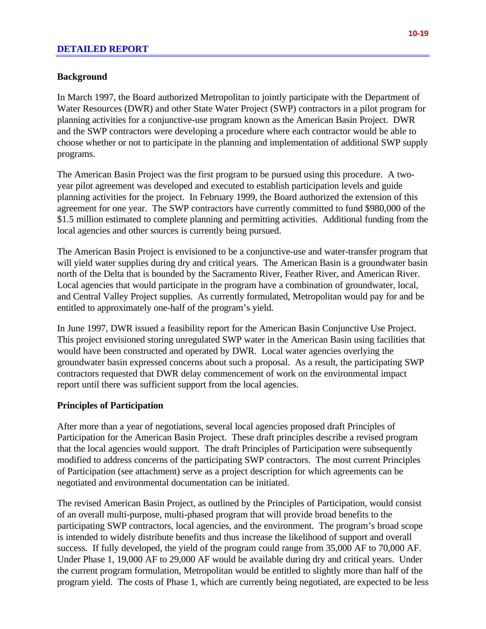# **Background**

In March 1997, the Board authorized Metropolitan to jointly participate with the Department of Water Resources (DWR) and other State Water Project (SWP) contractors in a pilot program for planning activities for a conjunctive-use program known as the American Basin Project. DWR and the SWP contractors were developing a procedure where each contractor would be able to choose whether or not to participate in the planning and implementation of additional SWP supply programs.

The American Basin Project was the first program to be pursued using this procedure. A twoyear pilot agreement was developed and executed to establish participation levels and guide planning activities for the project. In February 1999, the Board authorized the extension of this agreement for one year. The SWP contractors have currently committed to fund \$980,000 of the \$1.5 million estimated to complete planning and permitting activities. Additional funding from the local agencies and other sources is currently being pursued.

The American Basin Project is envisioned to be a conjunctive-use and water-transfer program that will yield water supplies during dry and critical years. The American Basin is a groundwater basin north of the Delta that is bounded by the Sacramento River, Feather River, and American River. Local agencies that would participate in the program have a combination of groundwater, local, and Central Valley Project supplies. As currently formulated, Metropolitan would pay for and be entitled to approximately one-half of the program's yield.

In June 1997, DWR issued a feasibility report for the American Basin Conjunctive Use Project. This project envisioned storing unregulated SWP water in the American Basin using facilities that would have been constructed and operated by DWR. Local water agencies overlying the groundwater basin expressed concerns about such a proposal. As a result, the participating SWP contractors requested that DWR delay commencement of work on the environmental impact report until there was sufficient support from the local agencies.

# **Principles of Participation**

After more than a year of negotiations, several local agencies proposed draft Principles of Participation for the American Basin Project. These draft principles describe a revised program that the local agencies would support. The draft Principles of Participation were subsequently modified to address concerns of the participating SWP contractors. The most current Principles of Participation (see attachment) serve as a project description for which agreements can be negotiated and environmental documentation can be initiated.

The revised American Basin Project, as outlined by the Principles of Participation, would consist of an overall multi-purpose, multi-phased program that will provide broad benefits to the participating SWP contractors, local agencies, and the environment. The program's broad scope is intended to widely distribute benefits and thus increase the likelihood of support and overall success. If fully developed, the yield of the program could range from 35,000 AF to 70,000 AF. Under Phase 1, 19,000 AF to 29,000 AF would be available during dry and critical years. Under the current program formulation, Metropolitan would be entitled to slightly more than half of the program yield. The costs of Phase 1, which are currently being negotiated, are expected to be less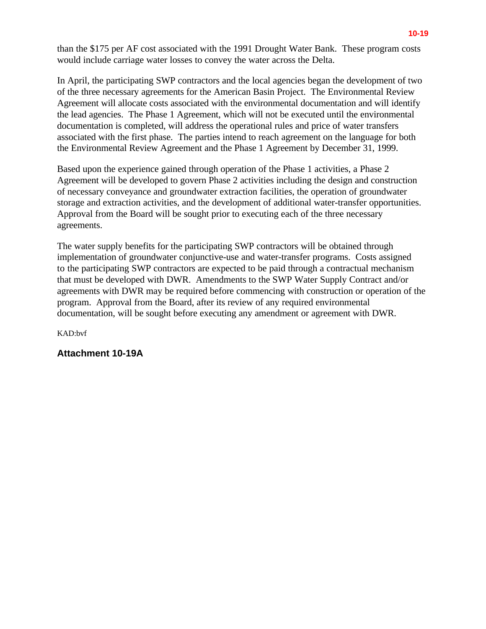than the \$175 per AF cost associated with the 1991 Drought Water Bank. These program costs would include carriage water losses to convey the water across the Delta.

In April, the participating SWP contractors and the local agencies began the development of two of the three necessary agreements for the American Basin Project. The Environmental Review Agreement will allocate costs associated with the environmental documentation and will identify the lead agencies. The Phase 1 Agreement, which will not be executed until the environmental documentation is completed, will address the operational rules and price of water transfers associated with the first phase. The parties intend to reach agreement on the language for both the Environmental Review Agreement and the Phase 1 Agreement by December 31, 1999.

Based upon the experience gained through operation of the Phase 1 activities, a Phase 2 Agreement will be developed to govern Phase 2 activities including the design and construction of necessary conveyance and groundwater extraction facilities, the operation of groundwater storage and extraction activities, and the development of additional water-transfer opportunities. Approval from the Board will be sought prior to executing each of the three necessary agreements.

The water supply benefits for the participating SWP contractors will be obtained through implementation of groundwater conjunctive-use and water-transfer programs. Costs assigned to the participating SWP contractors are expected to be paid through a contractual mechanism that must be developed with DWR. Amendments to the SWP Water Supply Contract and/or agreements with DWR may be required before commencing with construction or operation of the program. Approval from the Board, after its review of any required environmental documentation, will be sought before executing any amendment or agreement with DWR.

KAD:bvf

# **Attachment 10-19A**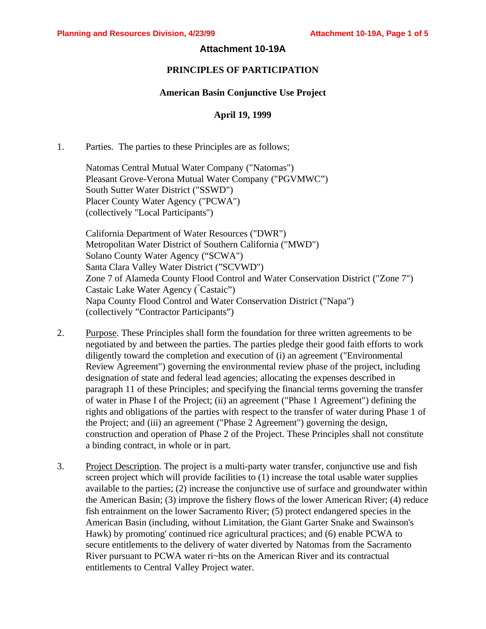## **Attachment 10-19A**

## **PRINCIPLES OF PARTICIPATION**

### **American Basin Conjunctive Use Project**

## **April 19, 1999**

1. Parties. The parties to these Principles are as follows;

Natomas Central Mutual Water Company ("Natomas") Pleasant Grove-Verona Mutual Water Company ("PGVMWC") South Sutter Water District ("SSWD") Placer County Water Agency ("PCWA") (collectively "Local Participants")

California Department of Water Resources ("DWR") Metropolitan Water District of Southern California ("MWD") Solano County Water Agency ("SCWA") Santa Clara Valley Water District ("SCVWD") Zone 7 of Alameda County Flood Control and Water Conservation District ("Zone 7") Castaic Lake Water Agency ("Castaic") Napa County Flood Control and Water Conservation District ("Napa") (collectively "Contractor Participants")

- 2. Purpose. These Principles shall form the foundation for three written agreements to be negotiated by and between the parties. The parties pledge their good faith efforts to work diligently toward the completion and execution of (i) an agreement ("Environmental Review Agreement") governing the environmental review phase of the project, including designation of state and federal lead agencies; allocating the expenses described in paragraph 11 of these Principles; and specifying the financial terms governing the transfer of water in Phase I of the Project; (ii) an agreement ("Phase 1 Agreement") defining the rights and obligations of the parties with respect to the transfer of water during Phase 1 of the Project; and (iii) an agreement ("Phase 2 Agreement") governing the design, construction and operation of Phase 2 of the Project. These Principles shall not constitute a binding contract, in whole or in part.
- 3. Project Description. The project is a multi-party water transfer, conjunctive use and fish screen project which will provide facilities to (1) increase the total usable water supplies available to the parties; (2) increase the conjunctive use of surface and groundwater within the American Basin; (3) improve the fishery flows of the lower American River; (4) reduce fish entrainment on the lower Sacramento River; (5) protect endangered species in the American Basin (including, without Limitation, the Giant Garter Snake and Swainson's Hawk) by promoting' continued rice agricultural practices; and (6) enable PCWA to secure entitlements to the delivery of water diverted by Natomas from the Sacramento River pursuant to PCWA water ri~hts on the American River and its contractual entitlements to Central Valley Project water.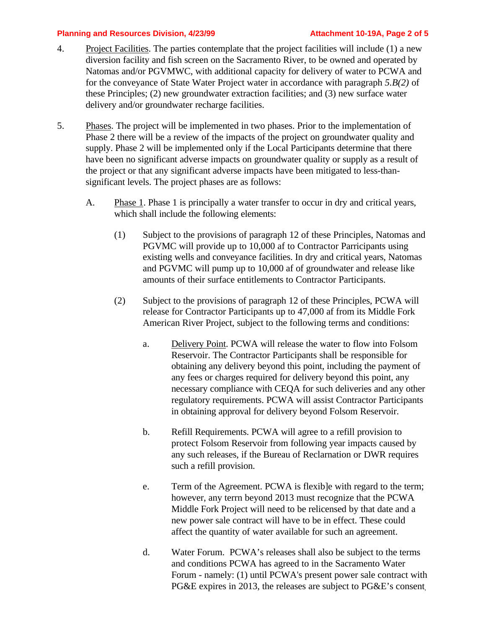### **Planning and Resources Division, 4/23/99 Attachment 10-19A, Page 2 of 5**

- 4. Project Facilities. The parties contemplate that the project facilities will include (1) a new diversion facility and fish screen on the Sacramento River, to be owned and operated by Natomas and/or PGVMWC, with additional capacity for delivery of water to PCWA and for the conveyance of State Water Project water in accordance with paragraph *5.B(2)* of these Principles; (2) new groundwater extraction facilities; and (3) new surface water delivery and/or groundwater recharge facilities.
- 5. Phases. The project will be implemented in two phases. Prior to the implementation of Phase 2 there will be a review of the impacts of the project on groundwater quality and supply. Phase 2 will be implemented only if the Local Participants determine that there have been no significant adverse impacts on groundwater quality or supply as a result of the project or that any significant adverse impacts have been mitigated to less-thansignificant levels. The project phases are as follows:
	- A. Phase 1. Phase 1 is principally a water transfer to occur in dry and critical years, which shall include the following elements:
		- (1) Subject to the provisions of paragraph 12 of these Principles, Natomas and PGVMC will provide up to 10,000 af to Contractor Parricipants using existing wells and conveyance facilities. In dry and critical years, Natomas and PGVMC will pump up to 10,000 af of groundwater and release like amounts of their surface entitlements to Contractor Participants.
		- (2) Subject to the provisions of paragraph 12 of these Principles, PCWA will release for Contractor Participants up to 47,000 af from its Middle Fork American River Project, subject to the following terms and conditions:
			- a. Delivery Point. PCWA will release the water to flow into Folsom Reservoir. The Contractor Participants shall be responsible for obtaining any delivery beyond this point, including the payment of any fees or charges required for delivery beyond this point, any necessary compliance with CEQA for such deliveries and any other regulatory requirements. PCWA will assist Contractor Participants in obtaining approval for delivery beyond Folsom Reservoir.
			- b. Refill Requirements. PCWA will agree to a refill provision to protect Folsom Reservoir from following year impacts caused by any such releases, if the Bureau of Reclarnation or DWR requires such a refill provision.
			- e. Term of the Agreement. PCWA is flexib]e with regard to the term; however, any terrn beyond 2013 must recognize that the PCWA Middle Fork Project will need to be relicensed by that date and a new power sale contract will have to be in effect. These could affect the quantity of water available for such an agreement.
			- d. Water Forum. PCWA's releases shall also be subject to the terms and conditions PCWA has agreed to in the Sacramento Water Forum - namely: (1) until PCWA's present power sale contract with PG&E expires in 2013, the releases are subject to PG&E's consent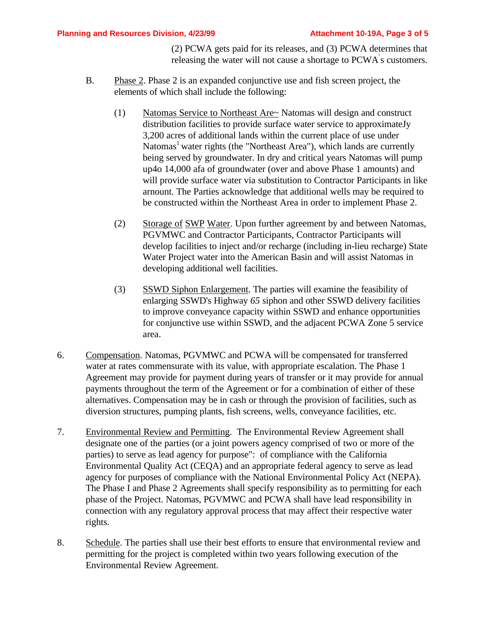(2) PCWA gets paid for its releases, and (3) PCWA determines that releasing the water will not cause a shortage to PCWA' s customers.

- B. Phase 2. Phase 2 is an expanded conjunctive use and fish screen project, the elements of which shall include the following:
	- (1) Natomas Service to Northeast Are~ Natomas will design and construct distribution facilities to provide surface water service to approximateJy 3,200 acres of additional lands within the current place of use under Natomas<sup>1</sup> water rights (the "Northeast Area"), which lands are currently being served by groundwater. In dry and critical years Natomas will pump up4o 14,000 afa of groundwater (over and above Phase 1 amounts) and will provide surface water via substitution to Contractor Participants in like arnount. The Parties acknowledge that additional wells may be required to be constructed within the Northeast Area in order to implement Phase 2.
	- (2) Storage of SWP Water. Upon further agreement by and between Natomas, PGVMWC and Contractor Participants, Contractor Participants will develop facilities to inject and/or recharge (including in-lieu recharge) State Water Project water into the American Basin and will assist Natomas in developing additional well facilities.
	- (3) SSWD Siphon Enlargement. The parties will examine the feasibility of enlarging SSWD's Highway *65* siphon and other SSWD delivery facilities to improve conveyance capacity within SSWD and enhance opportunities for conjunctive use within SSWD, and the adjacent PCWA Zone 5 service area.
- 6. Compensation. Natomas, PGVMWC and PCWA will be compensated for transferred water at rates commensurate with its value, with appropriate escalation. The Phase 1 Agreement may provide for payment during years of transfer or it may provide for annual payments throughout the term of the Agreement or for a combination of either of these alternatives. Compensation may be in cash or through the provision of facilities, such as diversion structures, pumping plants, fish screens, wells, conveyance facilities, etc.
- 7. Environmental Review and Permitting. The Environmental Review Agreement shall designate one of the parties (or a joint powers agency comprised of two or more of the parties) to serve as lead agency for purpose": of compliance with the California Environmental Quality Act (CEQA) and an appropriate federal agency to serve as lead agency for purposes of compliance with the National Environmental Policy Act (NEPA). The Phase I and Phase 2 Agreements shall specify responsibility as to permitting for each phase of the Project. Natomas, PGVMWC and PCWA shall have lead responsibility in connection with any regulatory approval process that may affect their respective water rights.
- 8. Schedule. The parties shall use their best efforts to ensure that environmental review and permitting for the project is completed within two years following execution of the Environmental Review Agreement.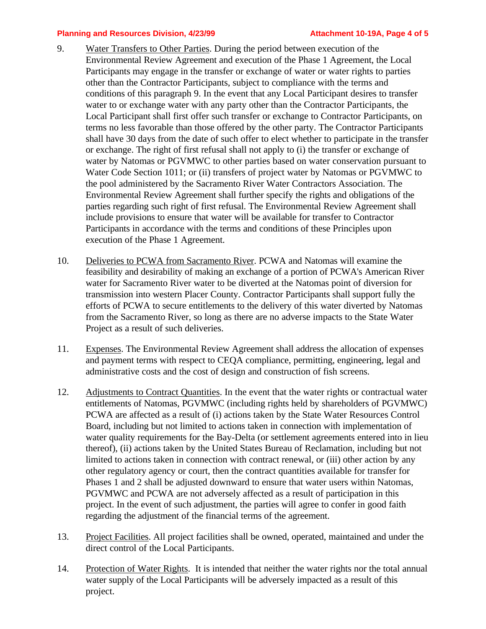#### **Planning and Resources Division, 4/23/99 Attachment 10-19A, Page 4 of 5**

- 9. Water Transfers to Other Parties. During the period between execution of the Environmental Review Agreement and execution of the Phase 1 Agreement, the Local Participants may engage in the transfer or exchange of water or water rights to parties other than the Contractor Participants, subject to compliance with the terms and conditions of this paragraph 9. In the event that any Local Participant desires to transfer water to or exchange water with any party other than the Contractor Participants, the Local Participant shall first offer such transfer or exchange to Contractor Participants, on terms no less favorable than those offered by the other party. The Contractor Participants shall have 30 days from the date of such offer to elect whether to participate in the transfer or exchange. The right of first refusal shall not apply to (i) the transfer or exchange of water by Natomas or PGVMWC to other parties based on water conservation pursuant to Water Code Section 1011; or (ii) transfers of project water by Natomas or PGVMWC to the pool administered by the Sacramento River Water Contractors Association. The Environmental Review Agreement shall further specify the rights and obligations of the parties regarding such right of first refusal. The Environmental Review Agreement shall include provisions to ensure that water will be available for transfer to Contractor Participants in accordance with the terms and conditions of these Principles upon execution of the Phase 1 Agreement.
- 10. Deliveries to PCWA from Sacramento River. PCWA and Natomas will examine the feasibility and desirability of making an exchange of a portion of PCWA's American River water for Sacramento River water to be diverted at the Natomas point of diversion for transmission into western Placer County. Contractor Participants shall support fully the efforts of PCWA to secure entitlements to the delivery of this water diverted by Natomas from the Sacramento River, so long as there are no adverse impacts to the State Water Project as a result of such deliveries.
- 11. Expenses. The Environmental Review Agreement shall address the allocation of expenses and payment terms with respect to CEQA compliance, permitting, engineering, legal and administrative costs and the cost of design and construction of fish screens.
- 12. Adjustments to Contract Quantities. In the event that the water rights or contractual water entitlements of Natomas, PGVMWC (including rights held by shareholders of PGVMWC) PCWA are affected as a result of (i) actions taken by the State Water Resources Control Board, including but not limited to actions taken in connection with implementation of water quality requirements for the Bay-Delta (or settlement agreements entered into in lieu thereof), (ii) actions taken by the United States Bureau of Reclamation, including but not limited to actions taken in connection with contract renewal, or (iii) other action by any other regulatory agency or court, then the contract quantities available for transfer for Phases 1 and 2 shall be adjusted downward to ensure that water users within Natomas, PGVMWC and PCWA are not adversely affected as a result of participation in this project. In the event of such adjustment, the parties will agree to confer in good faith regarding the adjustment of the financial terms of the agreement.
- 13. Project Facilities. All project facilities shall be owned, operated, maintained and under the direct control of the Local Participants.
- 14. Protection of Water Rights. It is intended that neither the water rights nor the total annual water supply of the Local Participants will be adversely impacted as a result of this project.